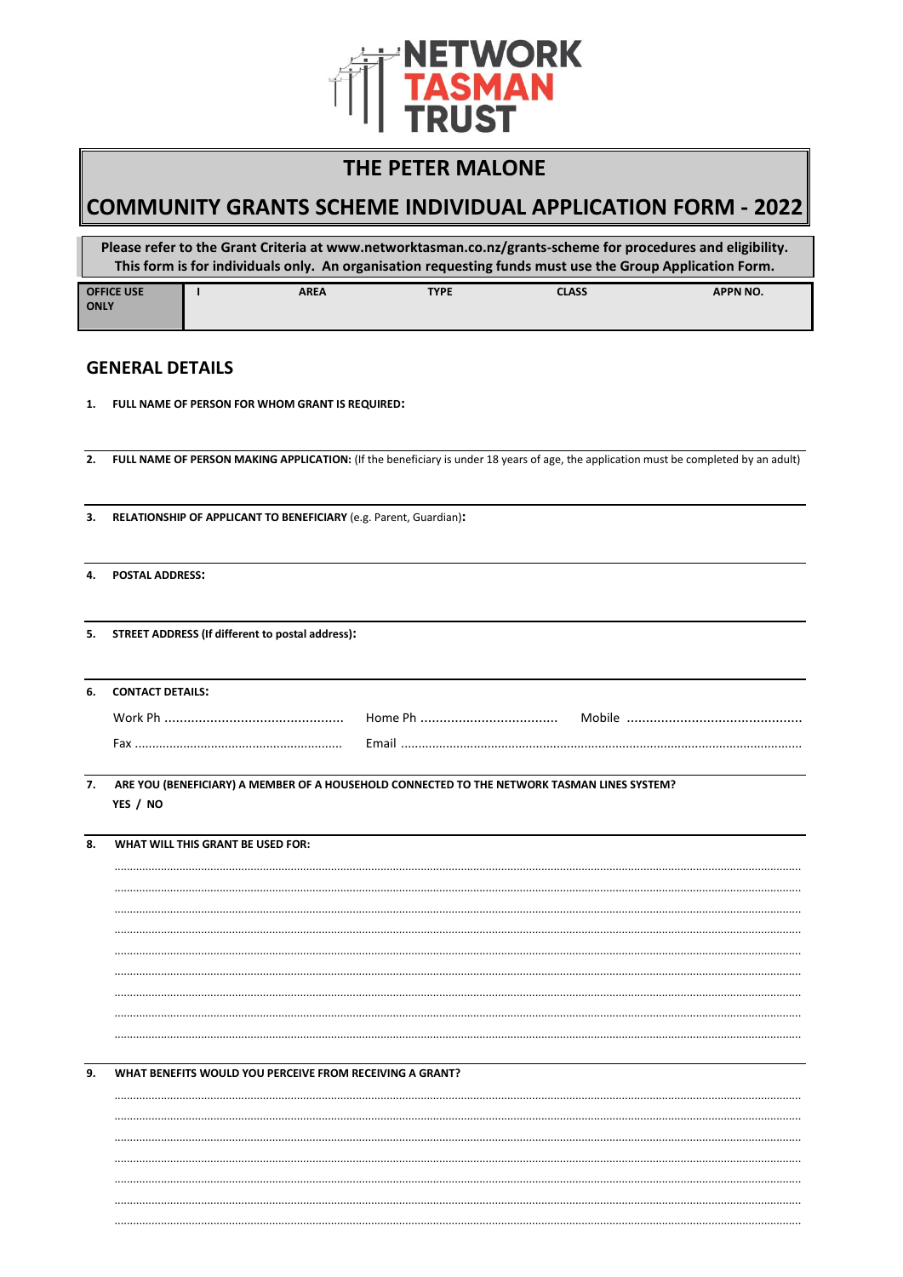

## **THE PETER MALONE**

# **COMMUNITY GRANTS SCHEME INDIVIDUAL APPLICATION FORM - 2022**

Please refer to the Grant Criteria at www.networktasman.co.nz/grants-scheme for procedures and eligibility. This form is for individuals only. An organisation requesting funds must use the Group Application Form.

| <b>OFFICE USE</b> | <b>AREA</b> | <b>TYPE</b> | <b>CLASS</b> | <b>APPN NO.</b> |
|-------------------|-------------|-------------|--------------|-----------------|
| <b>ONLY</b>       |             |             |              |                 |

## **GENERAL DETAILS**

 $1.$ FULL NAME OF PERSON FOR WHOM GRANT IS REQUIRED:

 $2.$ FULL NAME OF PERSON MAKING APPLICATION: (If the beneficiary is under 18 years of age, the application must be completed by an adult)

- $\mathbf{R}$ RELATIONSHIP OF APPLICANT TO BENEFICIARY (e.g. Parent, Guardian):
- **POSTAL ADDRESS:** 4.

**STREET ADDRESS (If different to postal address):**  $5.$ 

| 6. CONTACT DETAILS: |       |        |
|---------------------|-------|--------|
|                     |       | Mobile |
| Fav                 | Fmail |        |
|                     |       |        |

7. ARE YOU (BENEFICIARY) A MEMBER OF A HOUSEHOLD CONNECTED TO THE NETWORK TASMAN LINES SYSTEM? YES / NO

 $\overline{8}$ . WHAT WILL THIS GRANT BE USED FOR:

9. WHAT BENEFITS WOULD YOU PERCEIVE FROM RECEIVING A GRANT?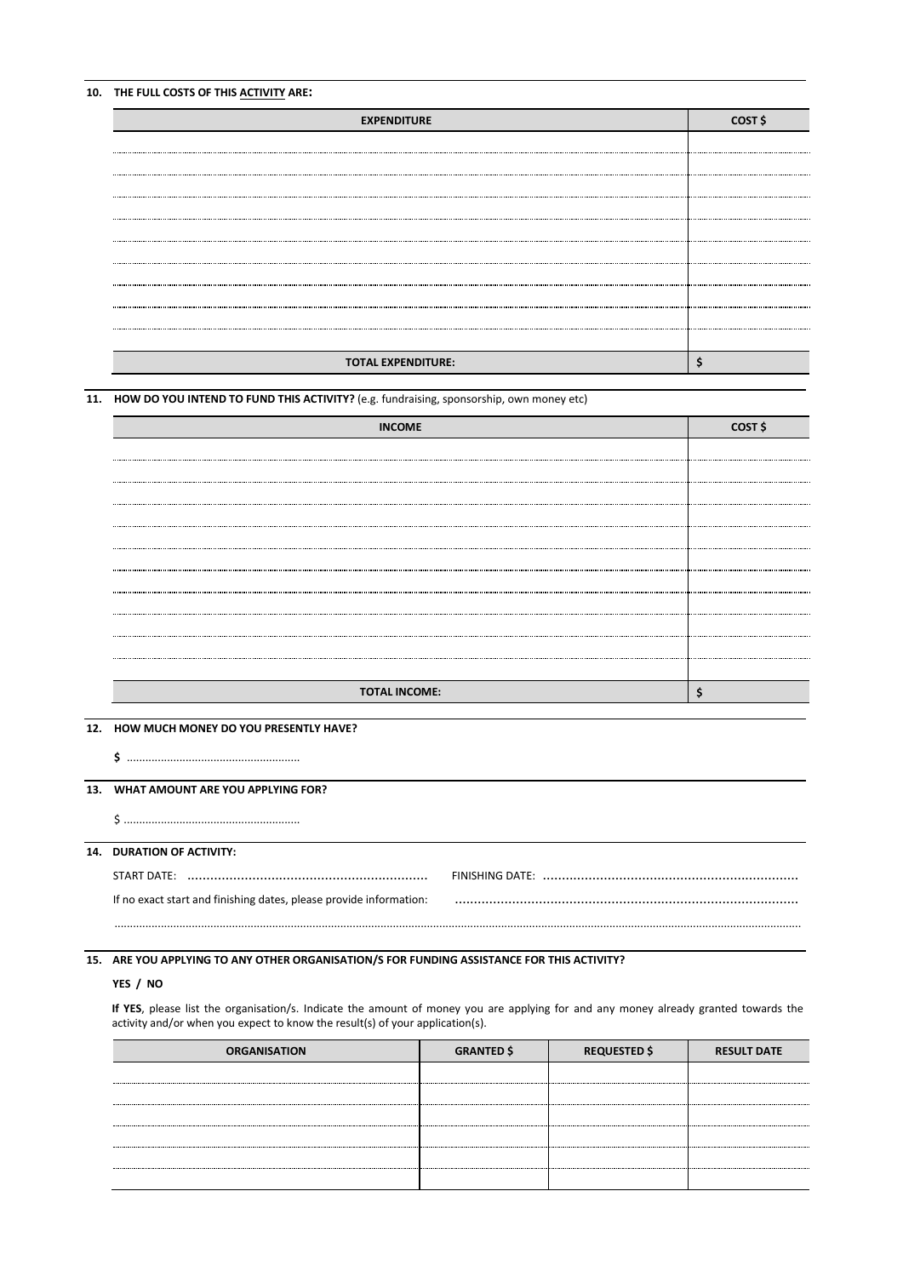## **10. THE FULL COSTS OF THIS ACTIVITY ARE:**

| <b>EXPENDITURE</b>        | COST \$ |
|---------------------------|---------|
|                           |         |
|                           |         |
|                           |         |
|                           |         |
|                           |         |
|                           |         |
|                           |         |
|                           |         |
|                           |         |
| <b>TOTAL EXPENDITURE:</b> |         |

#### **11. HOW DO YOU INTEND TO FUND THIS ACTIVITY?** (e.g. fundraising, sponsorship, own money etc)

| <b>INCOME</b>        | COST \$ |
|----------------------|---------|
|                      |         |
|                      |         |
|                      |         |
|                      |         |
|                      |         |
|                      |         |
|                      |         |
|                      |         |
|                      |         |
|                      |         |
|                      |         |
|                      |         |
| <b>TOTAL INCOME:</b> |         |

#### **12. HOW MUCH MONEY DO YOU PRESENTLY HAVE?**

## **13. WHAT AMOUNT ARE YOU APPLYING FOR?**

\$ .........................................................

### **14. DURATION OF ACTIVITY:**

| If no exact start and finishing dates, please provide information: |  |
|--------------------------------------------------------------------|--|

..............................................................................................................................................................................................................................

## **15. ARE YOU APPLYING TO ANY OTHER ORGANISATION/S FOR FUNDING ASSISTANCE FOR THIS ACTIVITY?**

### **YES / NO**

**If YES**, please list the organisation/s. Indicate the amount of money you are applying for and any money already granted towards the activity and/or when you expect to know the result(s) of your application(s).

| <b>ORGANISATION</b> | <b>GRANTED \$</b> | <b>REQUESTED \$</b> | <b>RESULT DATE</b> |
|---------------------|-------------------|---------------------|--------------------|
|                     |                   |                     |                    |
|                     |                   |                     |                    |
|                     |                   |                     |                    |
|                     |                   |                     |                    |
|                     |                   |                     |                    |
|                     |                   |                     |                    |